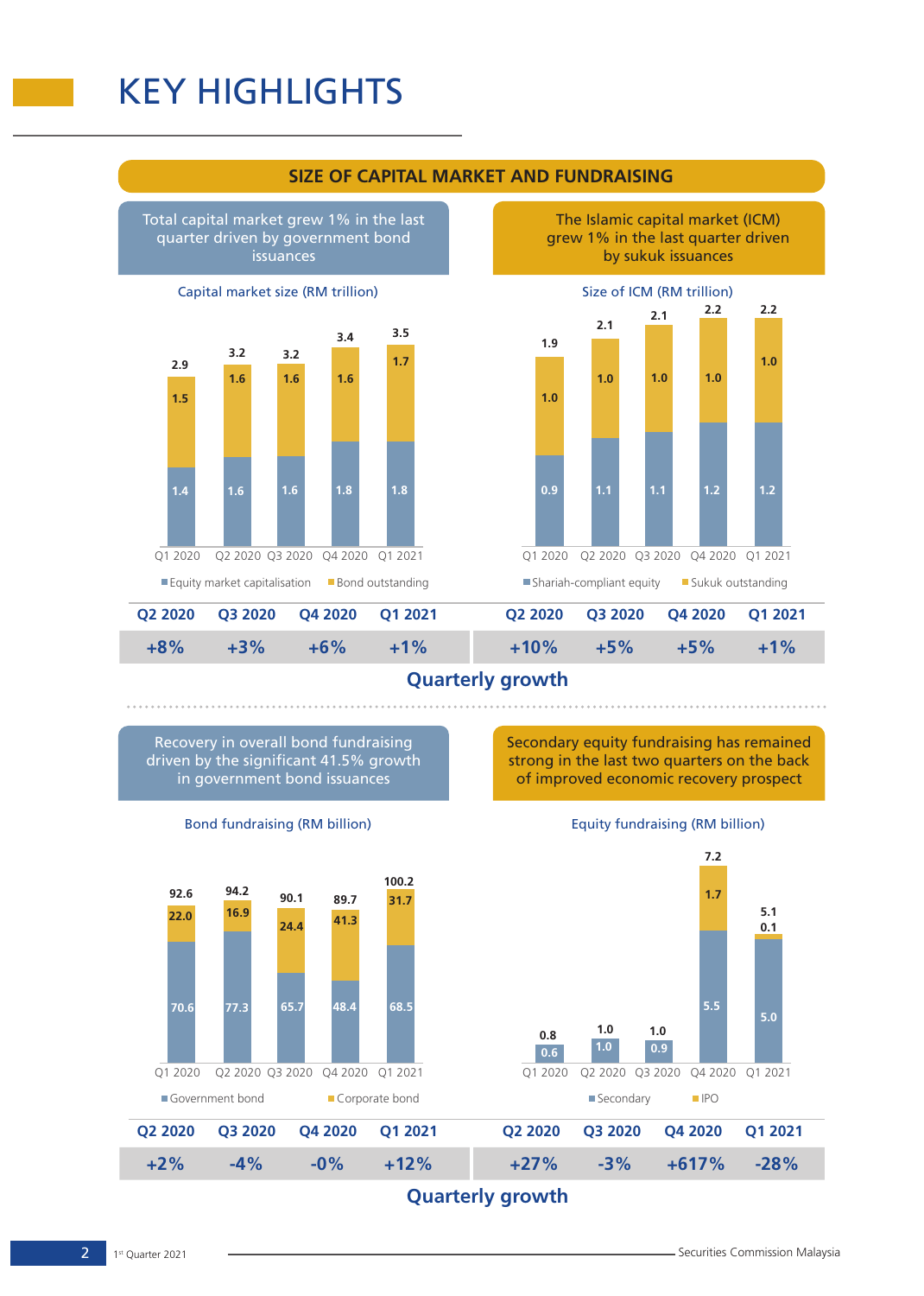## KEY HIGHLIGHTS



**1.0**

**0.9**

Q1 2020

**1.0**

**1.1**

**2.1**

**1.9**

Total capital market grew 1% in the last quarter driven by government bond issuances





**+8% +10% +6% +5% Q2 2020 Q4 2020 Q2 2020 Q4 2020 +3% +5% +1% +1% Q3 2020 Q1 2021 Q3 2020 Q1 2021** Equity market capitalisation Bond outstanding Shariah-compliant equity **Sukuk outstanding** 

## **Quarterly growth**

Secondary equity fundraising has remained strong in the last two quarters on the back of improved economic recovery prospect

Equity fundraising (RM billion)

Size of ICM (RM trillion)

**2.1**

**1.0**

**1.1**

Q2 2020 Q3 2020 Q4 2020 Q1 2021

**1.0**

**1.2**

**1.0**

**1.2**

**2.2**

**2.2**

The Islamic capital market (ICM) grew 1% in the last quarter driven by sukuk issuances

Recovery in overall bond fundraising driven by the significant 41.5% growth in government bond issuances



Bond fundraising (RM billion)

**Quarterly growth**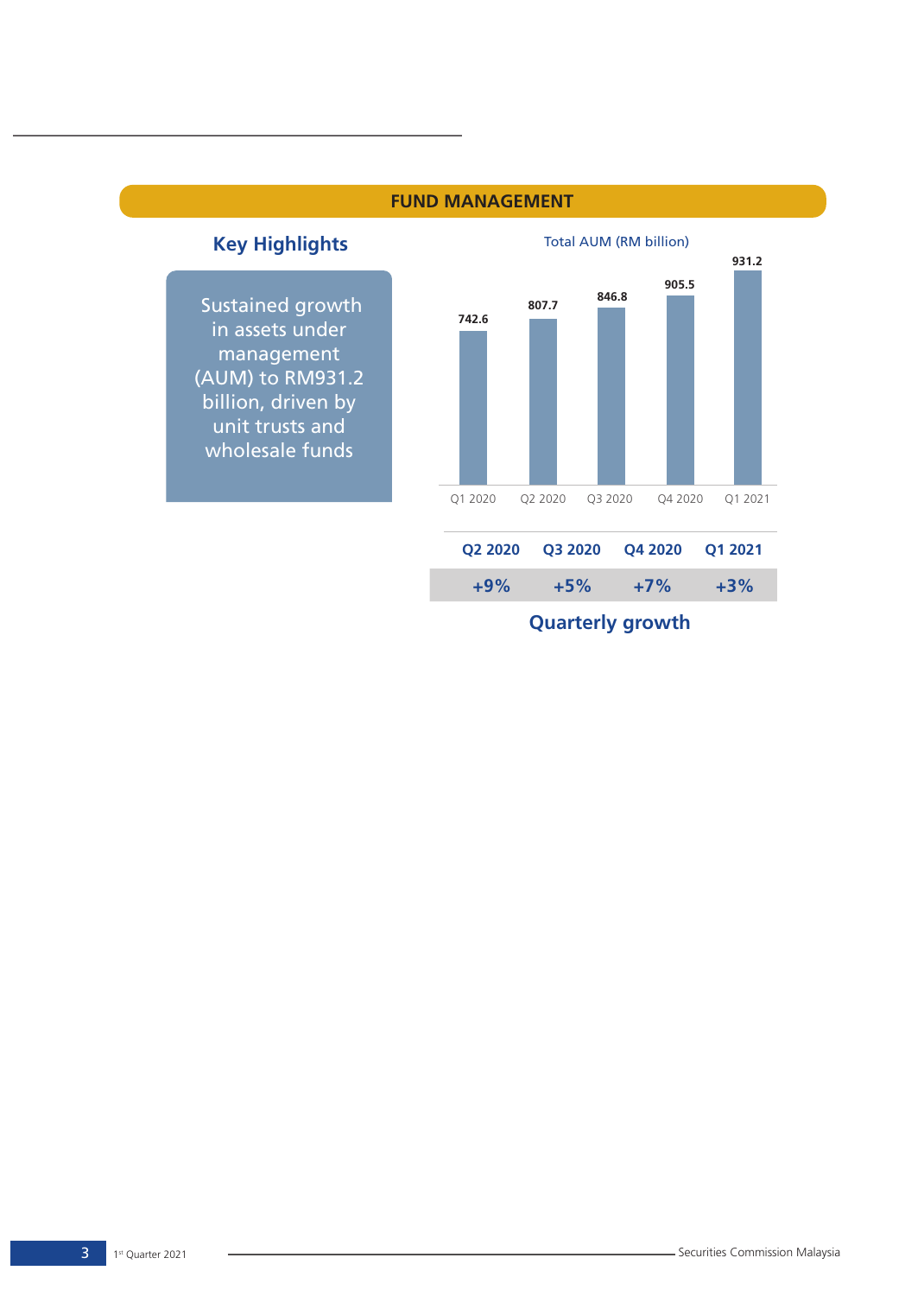



 Sustained growth in assets under management (AUM) to RM931.2 billion, driven by unit trusts and wholesale funds



**Quarterly growth**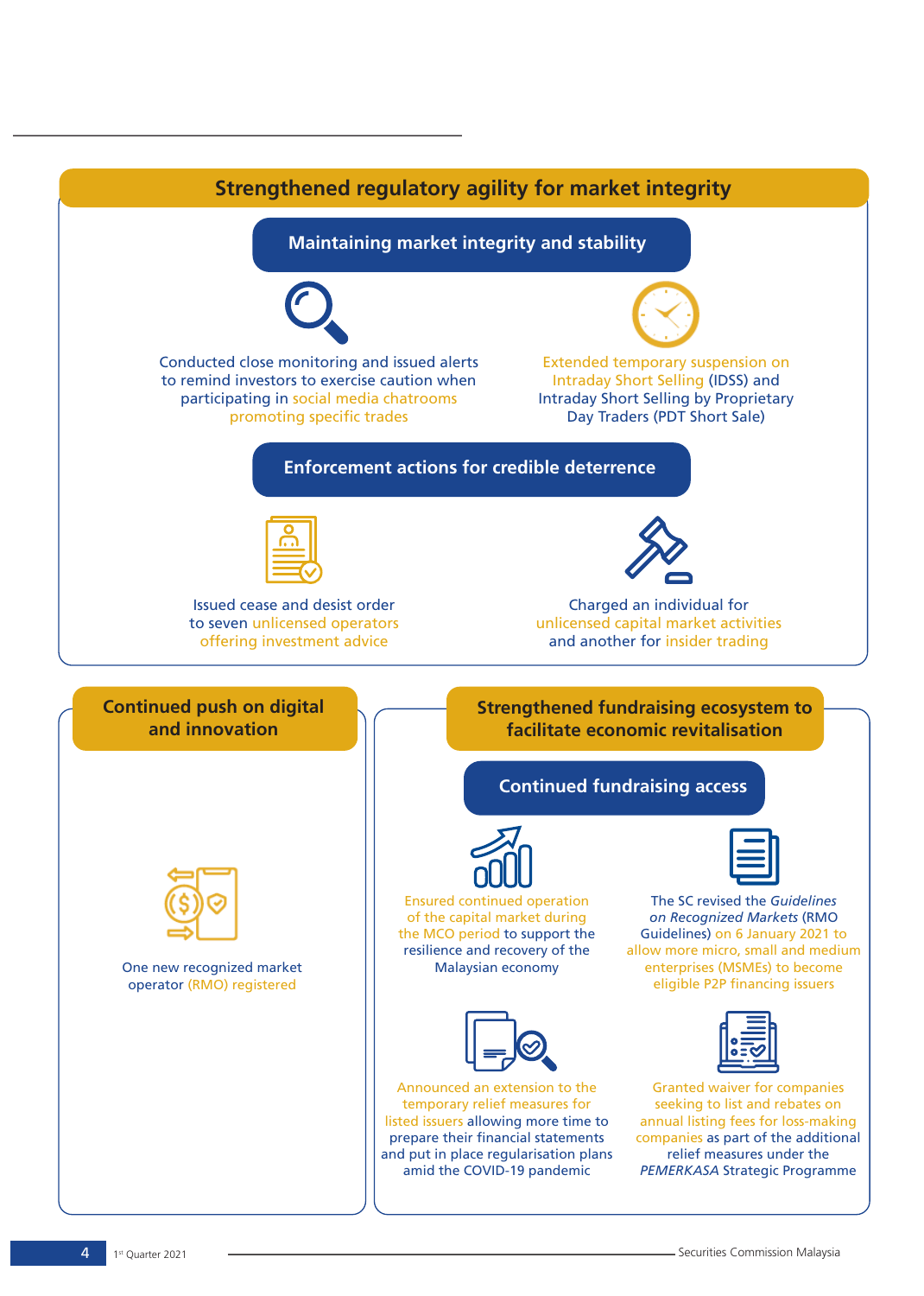